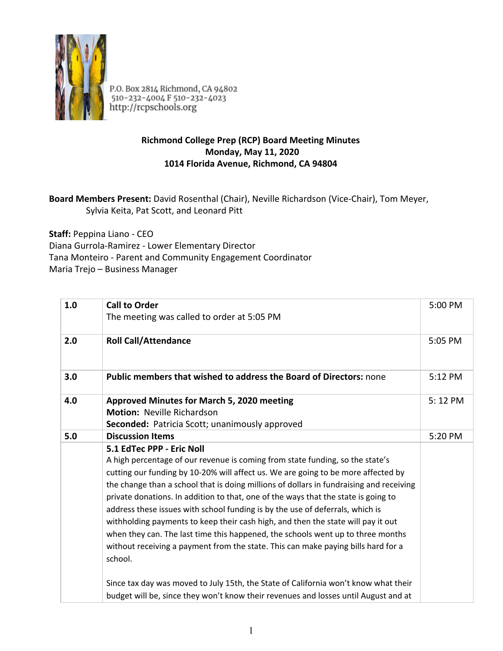

P.O. Box 2814 Richmond, CA 94802<br>510-232-4004 F 510-232-4023<br>http://rcpschools.org

## **Richmond College Prep (RCP) Board Meeting Minutes Monday, May 11, 2020 1014 Florida Avenue, Richmond, CA 94804**

## **Board Members Present:** David Rosenthal (Chair), Neville Richardson (Vice-Chair), Tom Meyer, Sylvia Keita, Pat Scott, and Leonard Pitt

**Staff:** Peppina Liano - CEO

Diana Gurrola-Ramirez - Lower Elementary Director

Tana Monteiro - Parent and Community Engagement Coordinator

Maria Trejo – Business Manager

| 1.0 | <b>Call to Order</b><br>The meeting was called to order at 5:05 PM                                                                                                                                                                                                                                                                                                                                                                                                                                                                                                               | 5:00 PM |
|-----|----------------------------------------------------------------------------------------------------------------------------------------------------------------------------------------------------------------------------------------------------------------------------------------------------------------------------------------------------------------------------------------------------------------------------------------------------------------------------------------------------------------------------------------------------------------------------------|---------|
| 2.0 | <b>Roll Call/Attendance</b>                                                                                                                                                                                                                                                                                                                                                                                                                                                                                                                                                      | 5:05 PM |
| 3.0 | <b>Public members that wished to address the Board of Directors: none</b>                                                                                                                                                                                                                                                                                                                                                                                                                                                                                                        | 5:12 PM |
| 4.0 | <b>Approved Minutes for March 5, 2020 meeting</b><br><b>Motion: Neville Richardson</b><br>Seconded: Patricia Scott; unanimously approved                                                                                                                                                                                                                                                                                                                                                                                                                                         | 5:12 PM |
| 5.0 | <b>Discussion Items</b><br>5.1 EdTec PPP - Eric Noll<br>A high percentage of our revenue is coming from state funding, so the state's<br>cutting our funding by 10-20% will affect us. We are going to be more affected by<br>the change than a school that is doing millions of dollars in fundraising and receiving<br>private donations. In addition to that, one of the ways that the state is going to<br>address these issues with school funding is by the use of deferrals, which is<br>withholding payments to keep their cash high, and then the state will pay it out | 5:20 PM |
|     | when they can. The last time this happened, the schools went up to three months<br>without receiving a payment from the state. This can make paying bills hard for a<br>school.<br>Since tax day was moved to July 15th, the State of California won't know what their<br>budget will be, since they won't know their revenues and losses until August and at                                                                                                                                                                                                                    |         |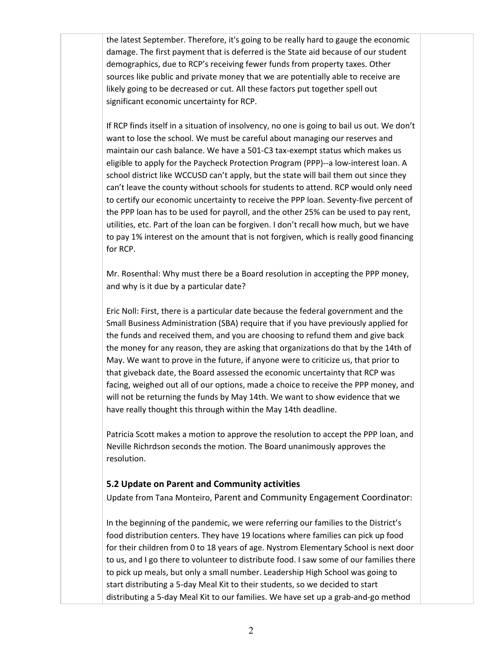the latest September. Therefore, it's going to be really hard to gauge the economic damage. The first payment that is deferred is the State aid because of our student demographics, due to RCP's receiving fewer funds from property taxes. Other sources like public and private money that we are potentially able to receive are likely going to be decreased or cut. All these factors put together spell out significant economic uncertainty for RCP.

If RCP finds itself in a situation of insolvency, no one is going to bail us out. We don't want to lose the school. We must be careful about managing our reserves and maintain our cash balance. We have a 501-C3 tax-exempt status which makes us eligible to apply for the Paycheck Protection Program (PPP)--a low-interest loan. A school district like WCCUSD can't apply, but the state will bail them out since they can't leave the county without schools for students to attend. RCP would only need to certify our economic uncertainty to receive the PPP loan. Seventy-five percent of the PPP loan has to be used for payroll, and the other 25% can be used to pay rent, utilities, etc. Part of the loan can be forgiven. I don't recall how much, but we have to pay 1% interest on the amount that is not forgiven, which is really good financing for RCP.

Mr. Rosenthal: Why must there be a Board resolution in accepting the PPP money, and why is it due by a particular date?

Eric Noll: First, there is a particular date because the federal government and the Small Business Administration (SBA) require that if you have previously applied for the funds and received them, and you are choosing to refund them and give back the money for any reason, they are asking that organizations do that by the 14th of May. We want to prove in the future, if anyone were to criticize us, that prior to that giveback date, the Board assessed the economic uncertainty that RCP was facing, weighed out all of our options, made a choice to receive the PPP money, and will not be returning the funds by May 14th. We want to show evidence that we have really thought this through within the May 14th deadline.

Patricia Scott makes a motion to approve the resolution to accept the PPP loan, and Neville Richrdson seconds the motion. The Board unanimously approves the resolution.

## **5.2 Update on Parent and Community activities**

Update from Tana Monteiro, Parent and Community Engagement Coordinator:

In the beginning of the pandemic, we were referring our families to the District's food distribution centers. They have 19 locations where families can pick up food for their children from 0 to 18 years of age. Nystrom Elementary School is next door to us, and I go there to volunteer to distribute food. I saw some of our families there to pick up meals, but only a small number. Leadership High School was going to start distributing a 5-day Meal Kit to their students, so we decided to start distributing a 5-day Meal Kit to our families. We have set up a grab-and-go method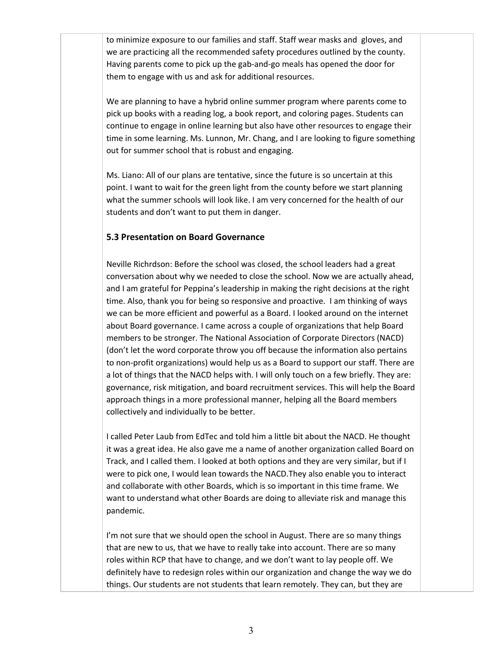to minimize exposure to our families and staff. Staff wear masks and gloves, and we are practicing all the recommended safety procedures outlined by the county. Having parents come to pick up the gab-and-go meals has opened the door for them to engage with us and ask for additional resources.

We are planning to have a hybrid online summer program where parents come to pick up books with a reading log, a book report, and coloring pages. Students can continue to engage in online learning but also have other resources to engage their time in some learning. Ms. Lunnon, Mr. Chang, and I are looking to figure something out for summer school that is robust and engaging.

Ms. Liano: All of our plans are tentative, since the future is so uncertain at this point. I want to wait for the green light from the county before we start planning what the summer schools will look like. I am very concerned for the health of our students and don't want to put them in danger.

## **5.3 Presentation on Board Governance**

Neville Richrdson: Before the school was closed, the school leaders had a great conversation about why we needed to close the school. Now we are actually ahead, and I am grateful for Peppina's leadership in making the right decisions at the right time. Also, thank you for being so responsive and proactive. I am thinking of ways we can be more efficient and powerful as a Board. I looked around on the internet about Board governance. I came across a couple of organizations that help Board members to be stronger. The National Association of Corporate Directors (NACD) (don't let the word corporate throw you off because the information also pertains to non-profit organizations) would help us as a Board to support our staff. There are a lot of things that the NACD helps with. I will only touch on a few briefly. They are: governance, risk mitigation, and board recruitment services. This will help the Board approach things in a more professional manner, helping all the Board members collectively and individually to be better.

I called Peter Laub from EdTec and told him a little bit about the NACD. He thought it was a great idea. He also gave me a name of another organization called Board on Track, and I called them. I looked at both options and they are very similar, but if I were to pick one, I would lean towards the NACD.They also enable you to interact and collaborate with other Boards, which is so important in this time frame. We want to understand what other Boards are doing to alleviate risk and manage this pandemic.

I'm not sure that we should open the school in August. There are so many things that are new to us, that we have to really take into account. There are so many roles within RCP that have to change, and we don't want to lay people off. We definitely have to redesign roles within our organization and change the way we do things. Our students are not students that learn remotely. They can, but they are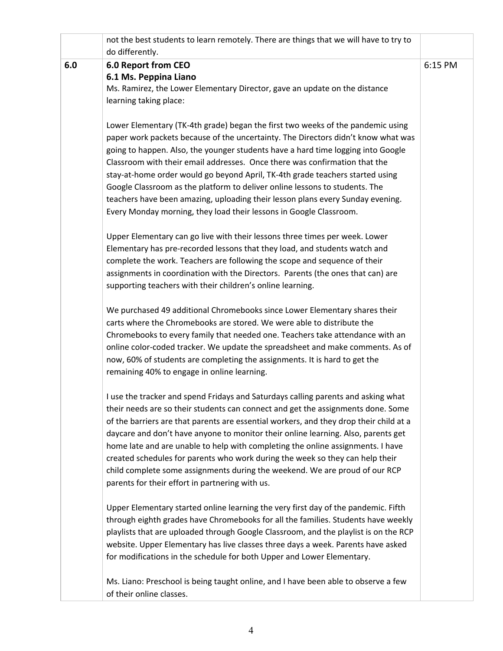|     | not the best students to learn remotely. There are things that we will have to try to                                                                                    |         |
|-----|--------------------------------------------------------------------------------------------------------------------------------------------------------------------------|---------|
| 6.0 | do differently.<br><b>6.0 Report from CEO</b>                                                                                                                            | 6:15 PM |
|     | 6.1 Ms. Peppina Liano                                                                                                                                                    |         |
|     | Ms. Ramirez, the Lower Elementary Director, gave an update on the distance                                                                                               |         |
|     | learning taking place:                                                                                                                                                   |         |
|     | Lower Elementary (TK-4th grade) began the first two weeks of the pandemic using                                                                                          |         |
|     | paper work packets because of the uncertainty. The Directors didn't know what was                                                                                        |         |
|     | going to happen. Also, the younger students have a hard time logging into Google                                                                                         |         |
|     | Classroom with their email addresses. Once there was confirmation that the                                                                                               |         |
|     | stay-at-home order would go beyond April, TK-4th grade teachers started using                                                                                            |         |
|     | Google Classroom as the platform to deliver online lessons to students. The                                                                                              |         |
|     | teachers have been amazing, uploading their lesson plans every Sunday evening.                                                                                           |         |
|     | Every Monday morning, they load their lessons in Google Classroom.                                                                                                       |         |
|     | Upper Elementary can go live with their lessons three times per week. Lower                                                                                              |         |
|     | Elementary has pre-recorded lessons that they load, and students watch and                                                                                               |         |
|     | complete the work. Teachers are following the scope and sequence of their                                                                                                |         |
|     | assignments in coordination with the Directors. Parents (the ones that can) are                                                                                          |         |
|     | supporting teachers with their children's online learning.                                                                                                               |         |
|     | We purchased 49 additional Chromebooks since Lower Elementary shares their                                                                                               |         |
|     | carts where the Chromebooks are stored. We were able to distribute the                                                                                                   |         |
|     | Chromebooks to every family that needed one. Teachers take attendance with an                                                                                            |         |
|     | online color-coded tracker. We update the spreadsheet and make comments. As of                                                                                           |         |
|     | now, 60% of students are completing the assignments. It is hard to get the                                                                                               |         |
|     | remaining 40% to engage in online learning.                                                                                                                              |         |
|     | I use the tracker and spend Fridays and Saturdays calling parents and asking what                                                                                        |         |
|     | their needs are so their students can connect and get the assignments done. Some                                                                                         |         |
|     | of the barriers are that parents are essential workers, and they drop their child at a                                                                                   |         |
|     | daycare and don't have anyone to monitor their online learning. Also, parents get                                                                                        |         |
|     | home late and are unable to help with completing the online assignments. I have                                                                                          |         |
|     | created schedules for parents who work during the week so they can help their<br>child complete some assignments during the weekend. We are proud of our RCP             |         |
|     | parents for their effort in partnering with us.                                                                                                                          |         |
|     |                                                                                                                                                                          |         |
|     | Upper Elementary started online learning the very first day of the pandemic. Fifth                                                                                       |         |
|     | through eighth grades have Chromebooks for all the families. Students have weekly                                                                                        |         |
|     | playlists that are uploaded through Google Classroom, and the playlist is on the RCP<br>website. Upper Elementary has live classes three days a week. Parents have asked |         |
|     | for modifications in the schedule for both Upper and Lower Elementary.                                                                                                   |         |
|     |                                                                                                                                                                          |         |
|     | Ms. Liano: Preschool is being taught online, and I have been able to observe a few<br>of their online classes.                                                           |         |
|     |                                                                                                                                                                          |         |